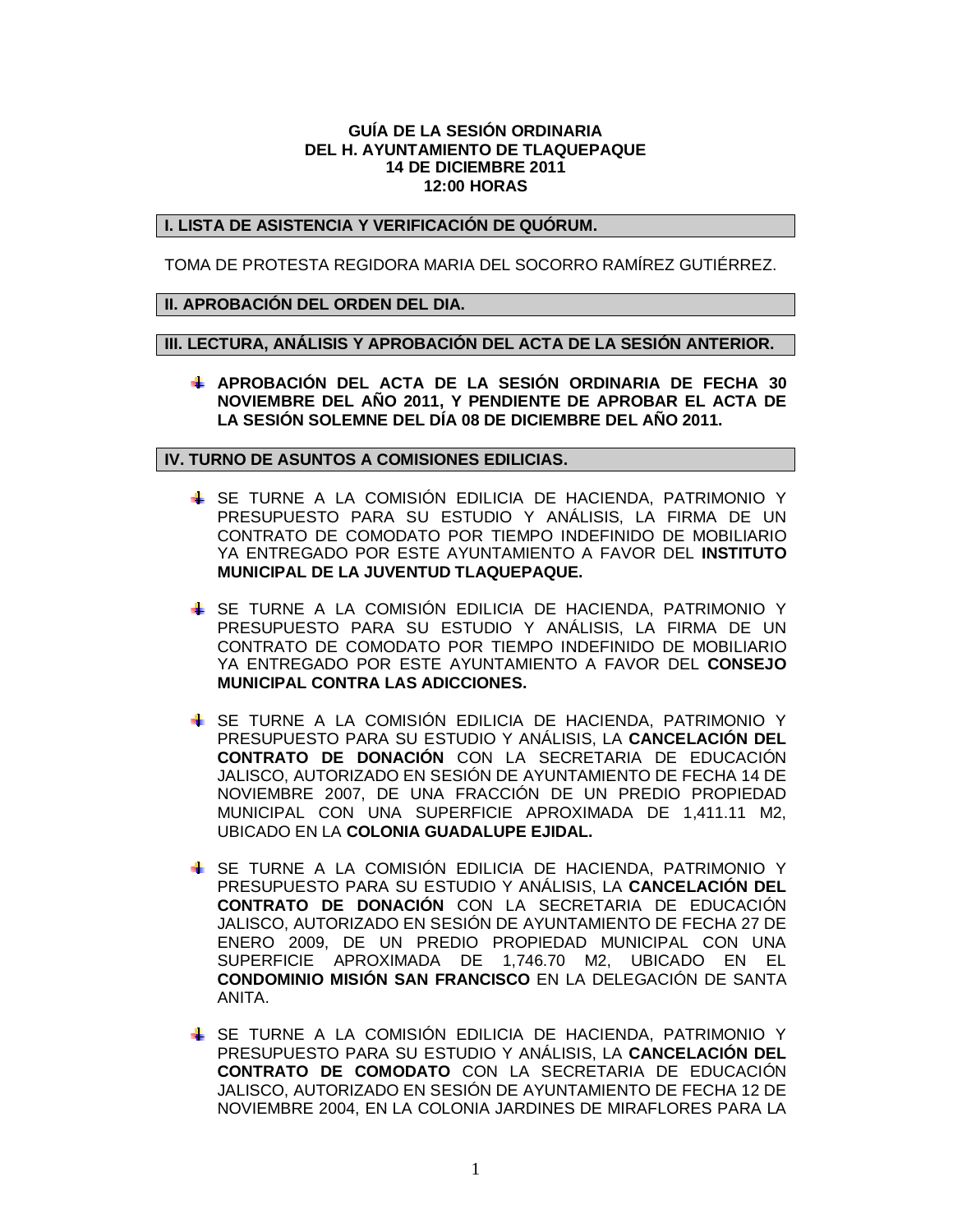### **GUÍA DE LA SESIÓN ORDINARIA DEL H. AYUNTAMIENTO DE TLAQUEPAQUE 14 DE DICIEMBRE 2011 12:00 HORAS**

# **I. LISTA DE ASISTENCIA Y VERIFICACIÓN DE QUÓRUM.**

TOMA DE PROTESTA REGIDORA MARIA DEL SOCORRO RAMÍREZ GUTIÉRREZ.

### **II. APROBACIÓN DEL ORDEN DEL DIA.**

**III. LECTURA, ANÁLISIS Y APROBACIÓN DEL ACTA DE LA SESIÓN ANTERIOR.**

**APROBACIÓN DEL ACTA DE LA SESIÓN ORDINARIA DE FECHA 30 NOVIEMBRE DEL AÑO 2011, Y PENDIENTE DE APROBAR EL ACTA DE LA SESIÓN SOLEMNE DEL DÍA 08 DE DICIEMBRE DEL AÑO 2011.**

#### **IV. TURNO DE ASUNTOS A COMISIONES EDILICIAS.**

- SE TURNE A LA COMISIÓN EDILICIA DE HACIENDA, PATRIMONIO Y PRESUPUESTO PARA SU ESTUDIO Y ANÁLISIS, LA FIRMA DE UN CONTRATO DE COMODATO POR TIEMPO INDEFINIDO DE MOBILIARIO YA ENTREGADO POR ESTE AYUNTAMIENTO A FAVOR DEL **INSTITUTO MUNICIPAL DE LA JUVENTUD TLAQUEPAQUE.**
- SE TURNE A LA COMISIÓN EDILICIA DE HACIENDA, PATRIMONIO Y PRESUPUESTO PARA SU ESTUDIO Y ANÁLISIS, LA FIRMA DE UN CONTRATO DE COMODATO POR TIEMPO INDEFINIDO DE MOBILIARIO YA ENTREGADO POR ESTE AYUNTAMIENTO A FAVOR DEL **CONSEJO MUNICIPAL CONTRA LAS ADICCIONES.**
- SE TURNE A LA COMISIÓN EDILICIA DE HACIENDA, PATRIMONIO Y PRESUPUESTO PARA SU ESTUDIO Y ANÁLISIS, LA **CANCELACIÓN DEL CONTRATO DE DONACIÓN** CON LA SECRETARIA DE EDUCACIÓN JALISCO, AUTORIZADO EN SESIÓN DE AYUNTAMIENTO DE FECHA 14 DE NOVIEMBRE 2007, DE UNA FRACCIÓN DE UN PREDIO PROPIEDAD MUNICIPAL CON UNA SUPERFICIE APROXIMADA DE 1,411.11 M2, UBICADO EN LA **COLONIA GUADALUPE EJIDAL.**
- SE TURNE A LA COMISIÓN EDILICIA DE HACIENDA, PATRIMONIO Y PRESUPUESTO PARA SU ESTUDIO Y ANÁLISIS, LA **CANCELACIÓN DEL CONTRATO DE DONACIÓN** CON LA SECRETARIA DE EDUCACIÓN JALISCO, AUTORIZADO EN SESIÓN DE AYUNTAMIENTO DE FECHA 27 DE ENERO 2009, DE UN PREDIO PROPIEDAD MUNICIPAL CON UNA SUPERFICIE APROXIMADA DE 1,746.70 M2, UBICADO EN EL **CONDOMINIO MISIÓN SAN FRANCISCO** EN LA DELEGACIÓN DE SANTA ANITA.
- SE TURNE A LA COMISIÓN EDILICIA DE HACIENDA, PATRIMONIO Y PRESUPUESTO PARA SU ESTUDIO Y ANÁLISIS, LA **CANCELACIÓN DEL CONTRATO DE COMODATO** CON LA SECRETARIA DE EDUCACIÓN JALISCO, AUTORIZADO EN SESIÓN DE AYUNTAMIENTO DE FECHA 12 DE NOVIEMBRE 2004, EN LA COLONIA JARDINES DE MIRAFLORES PARA LA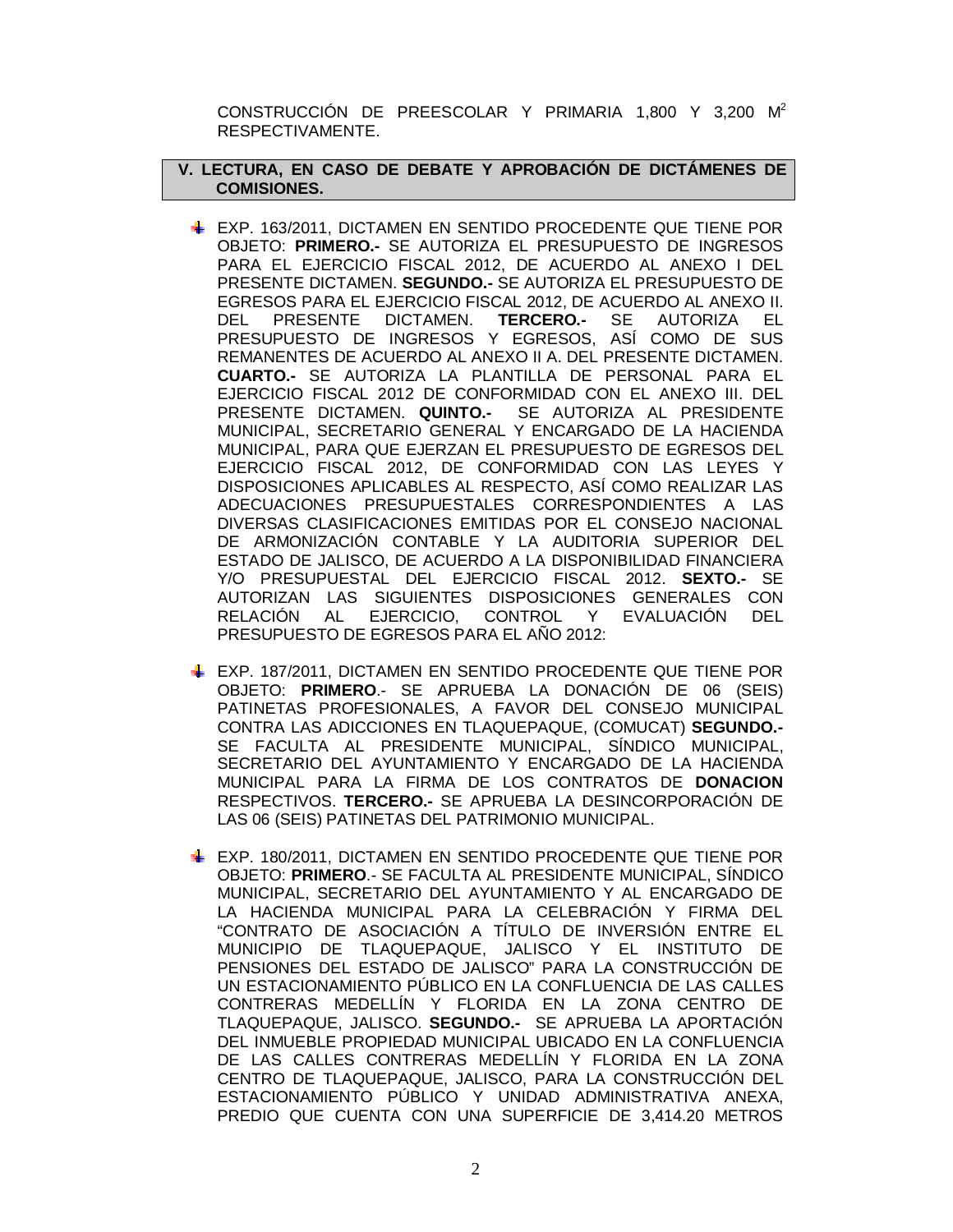CONSTRUCCIÓN DE PREESCOLAR Y PRIMARIA 1,800 Y 3,200 M<sup>2</sup> RESPECTIVAMENTE.

# **V. LECTURA, EN CASO DE DEBATE Y APROBACIÓN DE DICTÁMENES DE COMISIONES.**

- EXP. 163/2011, DICTAMEN EN SENTIDO PROCEDENTE QUE TIENE POR OBJETO: **PRIMERO.-** SE AUTORIZA EL PRESUPUESTO DE INGRESOS PARA EL EJERCICIO FISCAL 2012, DE ACUERDO AL ANEXO I DEL PRESENTE DICTAMEN. **SEGUNDO.-** SE AUTORIZA EL PRESUPUESTO DE EGRESOS PARA EL EJERCICIO FISCAL 2012, DE ACUERDO AL ANEXO II. DEL PRESENTE DICTAMEN. **TERCERO.-** SE AUTORIZA EL PRESUPUESTO DE INGRESOS Y EGRESOS, ASÍ COMO DE SUS REMANENTES DE ACUERDO AL ANEXO II A. DEL PRESENTE DICTAMEN. **CUARTO.-** SE AUTORIZA LA PLANTILLA DE PERSONAL PARA EL EJERCICIO FISCAL 2012 DE CONFORMIDAD CON EL ANEXO III. DEL PRESENTE DICTAMEN. **QUINTO.-** SE AUTORIZA AL PRESIDENTE MUNICIPAL, SECRETARIO GENERAL Y ENCARGADO DE LA HACIENDA MUNICIPAL, PARA QUE EJERZAN EL PRESUPUESTO DE EGRESOS DEL EJERCICIO FISCAL 2012, DE CONFORMIDAD CON LAS LEYES Y DISPOSICIONES APLICABLES AL RESPECTO, ASÍ COMO REALIZAR LAS ADECUACIONES PRESUPUESTALES CORRESPONDIENTES A LAS DIVERSAS CLASIFICACIONES EMITIDAS POR EL CONSEJO NACIONAL DE ARMONIZACIÓN CONTABLE Y LA AUDITORIA SUPERIOR DEL ESTADO DE JALISCO, DE ACUERDO A LA DISPONIBILIDAD FINANCIERA Y/O PRESUPUESTAL DEL EJERCICIO FISCAL 2012. **SEXTO.-** SE AUTORIZAN LAS SIGUIENTES DISPOSICIONES GENERALES CON RELACIÓN AL EJERCICIO, CONTROL Y EVALUACIÓN DEL PRESUPUESTO DE EGRESOS PARA EL AÑO 2012:
- EXP. 187/2011, DICTAMEN EN SENTIDO PROCEDENTE QUE TIENE POR OBJETO: **PRIMERO**.- SE APRUEBA LA DONACIÓN DE 06 (SEIS) PATINETAS PROFESIONALES, A FAVOR DEL CONSEJO MUNICIPAL CONTRA LAS ADICCIONES EN TLAQUEPAQUE, (COMUCAT) **SEGUNDO.-** SE FACULTA AL PRESIDENTE MUNICIPAL, SÍNDICO MUNICIPAL, SECRETARIO DEL AYUNTAMIENTO Y ENCARGADO DE LA HACIENDA MUNICIPAL PARA LA FIRMA DE LOS CONTRATOS DE **DONACION**  RESPECTIVOS. **TERCERO.-** SE APRUEBA LA DESINCORPORACIÓN DE LAS 06 (SEIS) PATINETAS DEL PATRIMONIO MUNICIPAL.
- EXP. 180/2011, DICTAMEN EN SENTIDO PROCEDENTE QUE TIENE POR OBJETO: **PRIMERO**.- SE FACULTA AL PRESIDENTE MUNICIPAL, SÍNDICO MUNICIPAL, SECRETARIO DEL AYUNTAMIENTO Y AL ENCARGADO DE LA HACIENDA MUNICIPAL PARA LA CELEBRACIÓN Y FIRMA DEL "CONTRATO DE ASOCIACIÓN A TÍTULO DE INVERSIÓN ENTRE EL MUNICIPIO DE TLAQUEPAQUE, JALISCO Y EL INSTITUTO DE PENSIONES DEL ESTADO DE JALISCO" PARA LA CONSTRUCCIÓN DE UN ESTACIONAMIENTO PÚBLICO EN LA CONFLUENCIA DE LAS CALLES CONTRERAS MEDELLÍN Y FLORIDA EN LA ZONA CENTRO DE TLAQUEPAQUE, JALISCO. **SEGUNDO.-** SE APRUEBA LA APORTACIÓN DEL INMUEBLE PROPIEDAD MUNICIPAL UBICADO EN LA CONFLUENCIA DE LAS CALLES CONTRERAS MEDELLÍN Y FLORIDA EN LA ZONA CENTRO DE TLAQUEPAQUE, JALISCO, PARA LA CONSTRUCCIÓN DEL ESTACIONAMIENTO PÚBLICO Y UNIDAD ADMINISTRATIVA ANEXA, PREDIO QUE CUENTA CON UNA SUPERFICIE DE 3,414.20 METROS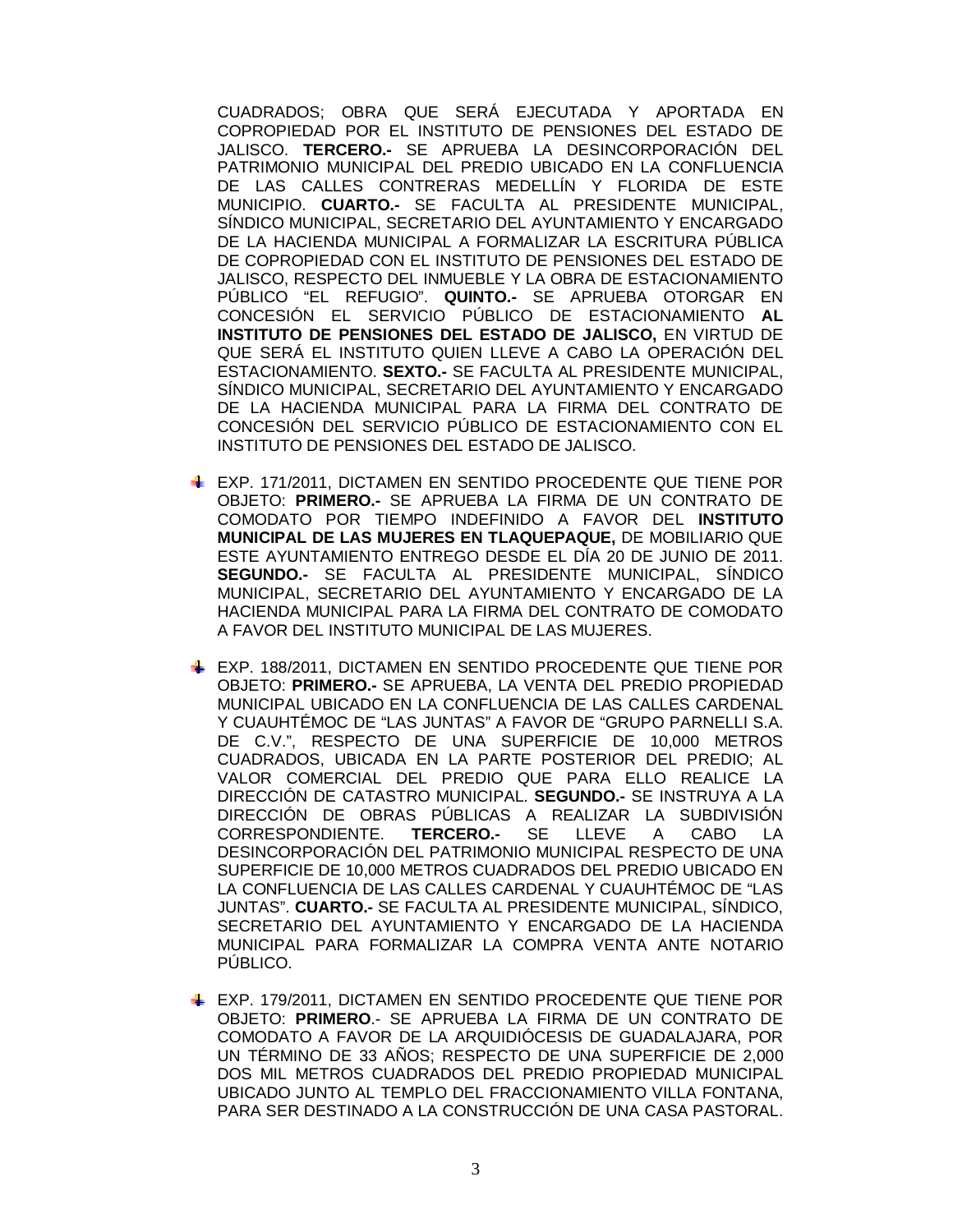CUADRADOS; OBRA QUE SERÁ EJECUTADA Y APORTADA EN COPROPIEDAD POR EL INSTITUTO DE PENSIONES DEL ESTADO DE JALISCO. **TERCERO.-** SE APRUEBA LA DESINCORPORACIÓN DEL PATRIMONIO MUNICIPAL DEL PREDIO UBICADO EN LA CONFLUENCIA DE LAS CALLES CONTRERAS MEDELLÍN Y FLORIDA DE ESTE MUNICIPIO. **CUARTO.-** SE FACULTA AL PRESIDENTE MUNICIPAL, SÍNDICO MUNICIPAL, SECRETARIO DEL AYUNTAMIENTO Y ENCARGADO DE LA HACIENDA MUNICIPAL A FORMALIZAR LA ESCRITURA PÚBLICA DE COPROPIEDAD CON EL INSTITUTO DE PENSIONES DEL ESTADO DE JALISCO, RESPECTO DEL INMUEBLE Y LA OBRA DE ESTACIONAMIENTO PÚBLICO "EL REFUGIO". **QUINTO.-** SE APRUEBA OTORGAR EN CONCESIÓN EL SERVICIO PÚBLICO DE ESTACIONAMIENTO **AL INSTITUTO DE PENSIONES DEL ESTADO DE JALISCO,** EN VIRTUD DE QUE SERÁ EL INSTITUTO QUIEN LLEVE A CABO LA OPERACIÓN DEL ESTACIONAMIENTO. **SEXTO.-** SE FACULTA AL PRESIDENTE MUNICIPAL, SÍNDICO MUNICIPAL, SECRETARIO DEL AYUNTAMIENTO Y ENCARGADO DE LA HACIENDA MUNICIPAL PARA LA FIRMA DEL CONTRATO DE CONCESIÓN DEL SERVICIO PÚBLICO DE ESTACIONAMIENTO CON EL INSTITUTO DE PENSIONES DEL ESTADO DE JALISCO.

- EXP. 171/2011, DICTAMEN EN SENTIDO PROCEDENTE QUE TIENE POR OBJETO: **PRIMERO.-** SE APRUEBA LA FIRMA DE UN CONTRATO DE COMODATO POR TIEMPO INDEFINIDO A FAVOR DEL **INSTITUTO MUNICIPAL DE LAS MUJERES EN TLAQUEPAQUE,** DE MOBILIARIO QUE ESTE AYUNTAMIENTO ENTREGO DESDE EL DÍA 20 DE JUNIO DE 2011. **SEGUNDO.-** SE FACULTA AL PRESIDENTE MUNICIPAL, SÍNDICO MUNICIPAL, SECRETARIO DEL AYUNTAMIENTO Y ENCARGADO DE LA HACIENDA MUNICIPAL PARA LA FIRMA DEL CONTRATO DE COMODATO A FAVOR DEL INSTITUTO MUNICIPAL DE LAS MUJERES.
- EXP. 188/2011, DICTAMEN EN SENTIDO PROCEDENTE QUE TIENE POR OBJETO: **PRIMERO.-** SE APRUEBA, LA VENTA DEL PREDIO PROPIEDAD MUNICIPAL UBICADO EN LA CONFLUENCIA DE LAS CALLES CARDENAL Y CUAUHTÉMOC DE "LAS JUNTAS" A FAVOR DE "GRUPO PARNELLI S.A. DE C.V.", RESPECTO DE UNA SUPERFICIE DE 10,000 METROS CUADRADOS, UBICADA EN LA PARTE POSTERIOR DEL PREDIO; AL VALOR COMERCIAL DEL PREDIO QUE PARA ELLO REALICE LA DIRECCIÓN DE CATASTRO MUNICIPAL. **SEGUNDO.-** SE INSTRUYA A LA DIRECCIÓN DE OBRAS PÚBLICAS A REALIZAR LA SUBDIVISIÓN CORRESPONDIENTE. **TERCERO.-** SE LLEVE A CABO LA DESINCORPORACIÓN DEL PATRIMONIO MUNICIPAL RESPECTO DE UNA SUPERFICIE DE 10,000 METROS CUADRADOS DEL PREDIO UBICADO EN LA CONFLUENCIA DE LAS CALLES CARDENAL Y CUAUHTÉMOC DE "LAS JUNTAS". **CUARTO.-** SE FACULTA AL PRESIDENTE MUNICIPAL, SÍNDICO, SECRETARIO DEL AYUNTAMIENTO Y ENCARGADO DE LA HACIENDA MUNICIPAL PARA FORMALIZAR LA COMPRA VENTA ANTE NOTARIO PÚBLICO.
- EXP. 179/2011, DICTAMEN EN SENTIDO PROCEDENTE QUE TIENE POR OBJETO: **PRIMERO**.- SE APRUEBA LA FIRMA DE UN CONTRATO DE COMODATO A FAVOR DE LA ARQUIDIÓCESIS DE GUADALAJARA, POR UN TÉRMINO DE 33 AÑOS; RESPECTO DE UNA SUPERFICIE DE 2,000 DOS MIL METROS CUADRADOS DEL PREDIO PROPIEDAD MUNICIPAL UBICADO JUNTO AL TEMPLO DEL FRACCIONAMIENTO VILLA FONTANA, PARA SER DESTINADO A LA CONSTRUCCIÓN DE UNA CASA PASTORAL.